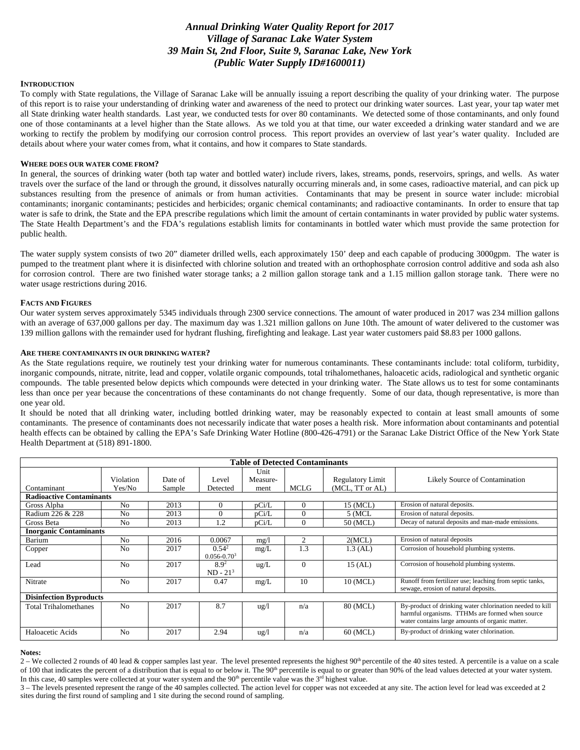# *Annual Drinking Water Quality Report for 2017 Village of Saranac Lake Water System 39 Main St, 2nd Floor, Suite 9, Saranac Lake, New York (Public Water Supply ID#1600011)*

#### **INTRODUCTION**

To comply with State regulations, the Village of Saranac Lake will be annually issuing a report describing the quality of your drinking water. The purpose of this report is to raise your understanding of drinking water and awareness of the need to protect our drinking water sources. Last year, your tap water met all State drinking water health standards. Last year, we conducted tests for over 80 contaminants. We detected some of those contaminants, and only found one of those contaminants at a level higher than the State allows. As we told you at that time, our water exceeded a drinking water standard and we are working to rectify the problem by modifying our corrosion control process. This report provides an overview of last year's water quality. Included are details about where your water comes from, what it contains, and how it compares to State standards.

#### **WHERE DOES OUR WATER COME FROM?**

In general, the sources of drinking water (both tap water and bottled water) include rivers, lakes, streams, ponds, reservoirs, springs, and wells. As water travels over the surface of the land or through the ground, it dissolves naturally occurring minerals and, in some cases, radioactive material, and can pick up substances resulting from the presence of animals or from human activities. Contaminants that may be present in source water include: microbial contaminants; inorganic contaminants; pesticides and herbicides; organic chemical contaminants; and radioactive contaminants. In order to ensure that tap water is safe to drink, the State and the EPA prescribe regulations which limit the amount of certain contaminants in water provided by public water systems. The State Health Department's and the FDA's regulations establish limits for contaminants in bottled water which must provide the same protection for public health.

The water supply system consists of two 20" diameter drilled wells, each approximately 150' deep and each capable of producing 3000gpm. The water is pumped to the treatment plant where it is disinfected with chlorine solution and treated with an orthophosphate corrosion control additive and soda ash also for corrosion control. There are two finished water storage tanks; a 2 million gallon storage tank and a 1.15 million gallon storage tank. There were no water usage restrictions during 2016.

#### **FACTS AND FIGURES**

Our water system serves approximately 5345 individuals through 2300 service connections. The amount of water produced in 2017 was 234 million gallons with an average of 637,000 gallons per day. The maximum day was 1.321 million gallons on June 10th. The amount of water delivered to the customer was 139 million gallons with the remainder used for hydrant flushing, firefighting and leakage. Last year water customers paid \$8.83 per 1000 gallons.

#### **ARE THERE CONTAMINANTS IN OUR DRINKING WATER?**

As the State regulations require, we routinely test your drinking water for numerous contaminants. These contaminants include: total coliform, turbidity, inorganic compounds, nitrate, nitrite, lead and copper, volatile organic compounds, total trihalomethanes, haloacetic acids, radiological and synthetic organic compounds. The table presented below depicts which compounds were detected in your drinking water. The State allows us to test for some contaminants less than once per year because the concentrations of these contaminants do not change frequently. Some of our data, though representative, is more than one year old.

It should be noted that all drinking water, including bottled drinking water, may be reasonably expected to contain at least small amounts of some contaminants. The presence of contaminants does not necessarily indicate that water poses a health risk. More information about contaminants and potential health effects can be obtained by calling the EPA's Safe Drinking Water Hotline (800-426-4791) or the Saranac Lake District Office of the New York State Health Department at (518) 891-1800.

| <b>Table of Detected Contaminants</b> |                     |                   |                               |                          |             |                                            |                                                                                                                                                                |
|---------------------------------------|---------------------|-------------------|-------------------------------|--------------------------|-------------|--------------------------------------------|----------------------------------------------------------------------------------------------------------------------------------------------------------------|
| Contaminant                           | Violation<br>Yes/No | Date of<br>Sample | Level<br>Detected             | Unit<br>Measure-<br>ment | <b>MCLG</b> | <b>Regulatory Limit</b><br>(MCL, TT or AL) | Likely Source of Contamination                                                                                                                                 |
| <b>Radioactive Contaminants</b>       |                     |                   |                               |                          |             |                                            |                                                                                                                                                                |
| Gross Alpha                           | N <sub>0</sub>      | 2013              | $\Omega$                      | pCi/L                    | $\Omega$    | 15 (MCL)                                   | Erosion of natural deposits.                                                                                                                                   |
| Radium 226 & 228                      | N <sub>0</sub>      | 2013              |                               | pCi/L                    | $\Omega$    | 5 (MCL                                     | Erosion of natural deposits.                                                                                                                                   |
| Gross Beta                            | N <sub>0</sub>      | 2013              | 1.2                           | pCi/L                    | $\theta$    | 50 (MCL)                                   | Decay of natural deposits and man-made emissions.                                                                                                              |
| <b>Inorganic Contaminants</b>         |                     |                   |                               |                          |             |                                            |                                                                                                                                                                |
| Barium                                | N <sub>0</sub>      | 2016              | 0.0067                        | mg/1                     | 2           | 2(MCL)                                     | Erosion of natural deposits                                                                                                                                    |
| Copper                                | N <sub>0</sub>      | 2017              | $0.54^{2}$<br>$0.056 - 0.703$ | mg/L                     | 1.3         | $1.3$ (AL)                                 | Corrosion of household plumbing systems.                                                                                                                       |
| Lead                                  | N <sub>0</sub>      | 2017              | $8.9^2$<br>$ND - 213$         | $\text{ug/L}$            | $\theta$    | $15$ (AL)                                  | Corrosion of household plumbing systems.                                                                                                                       |
| Nitrate                               | N <sub>0</sub>      | 2017              | 0.47                          | mg/L                     | 10          | 10 (MCL)                                   | Runoff from fertilizer use; leaching from septic tanks,<br>sewage, erosion of natural deposits.                                                                |
| <b>Disinfection Byproducts</b>        |                     |                   |                               |                          |             |                                            |                                                                                                                                                                |
| <b>Total Trihalomethanes</b>          | N <sub>0</sub>      | 2017              | 8.7                           | ug/l                     | n/a         | 80 (MCL)                                   | By-product of drinking water chlorination needed to kill<br>harmful organisms. TTHMs are formed when source<br>water contains large amounts of organic matter. |
| Haloacetic Acids                      | N <sub>0</sub>      | 2017              | 2.94                          | $\frac{u g}{l}$          | n/a         | 60 (MCL)                                   | By-product of drinking water chlorination.                                                                                                                     |

#### **Notes:**

2 – We collected 2 rounds of 40 lead & copper samples last year. The level presented represents the highest 90<sup>th</sup> percentile of the 40 sites tested. A percentile is a value on a scale of 100 that indicates the percent of a distribution that is equal to or below it. The 90<sup>th</sup> percentile is equal to or greater than 90% of the lead values detected at your water system. In this case, 40 samples were collected at your water system and the  $90<sup>th</sup>$  percentile value was the  $3<sup>rd</sup>$  highest value.

3 – The levels presented represent the range of the 40 samples collected. The action level for copper was not exceeded at any site. The action level for lead was exceeded at 2 sites during the first round of sampling and 1 site during the second round of sampling.